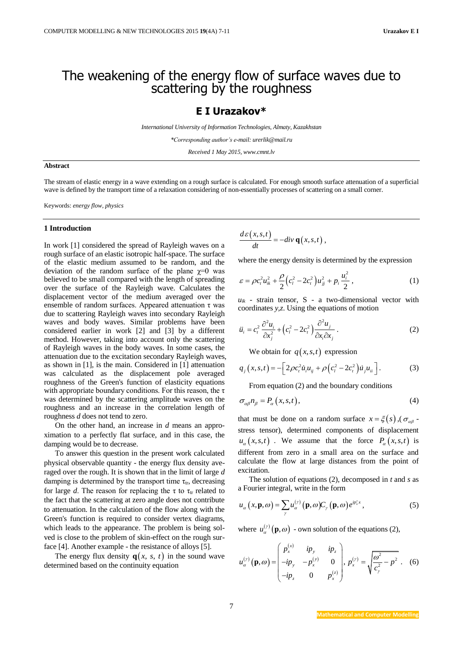# The weakening of the energy flow of surface waves due to scattering by the roughness

## **E I Urazakov\***

*International University of Information Technologies, Almaty, Kazakhstan*

*\*Corresponding author's e-mail: urerlik@mail.ru*

*Received 1 May 2015, www.cmnt.lv*

### **Abstract**

The stream of elastic energy in a wave extending on a rough surface is calculated. For enough smooth surface attenuation of a superficial wave is defined by the transport time of a relaxation considering of non-essentially processes of scattering on a small corner.

Keywords: *energy flow, physics*

#### **1 Introduction**

In work [1] considered the spread of Rayleigh waves on a rough surface of an elastic isotropic half-space. The surface of the elastic medium assumed to be random, and the deviation of the random surface of the plane  $\chi=0$  was believed to be small compared with the length of spreading over the surface of the Rayleigh wave. Calculates the displacement vector of the medium averaged over the ensemble of random surfaces. Appeared attenuation  $\tau$  was due to scattering Rayleigh waves into secondary Rayleigh waves and body waves. Similar problems have been considered earlier in work [2] and [3] by a different method. However, taking into account only the scattering of Rayleigh waves in the body waves. In some cases, the attenuation due to the excitation secondary Rayleigh waves, as shown in [1], is the main. Considered in [1] attenuation was calculated as the displacement pole averaged roughness of the Green's function of elasticity equations with appropriate boundary conditions. For this reason, the  $\tau$ was determined by the scattering amplitude waves on the roughness and an increase in the correlation length of roughness *d* does not tend to zero.

On the other hand, an increase in *d* means an approximation to a perfectly flat surface, and in this case, the damping would be to decrease.

To answer this question in the present work calculated physical observable quantity - the energy flux density averaged over the rough. It is shown that in the limit of large *d* damping is determined by the transport time  $\tau_{tr}$ , decreasing for large *d*. The reason for replacing the  $\tau$  to  $\tau_{tr}$  related to the fact that the scattering at zero angle does not contribute to attenuation. In the calculation of the flow along with the Green's function is required to consider vertex diagrams, which leads to the appearance. The problem is being solved is close to the problem of skin-effect on the rough surface [4]. Another example - the resistance of alloys [5].

The energy flux density  $q(x, s, t)$  in the sound wave determined based on the continuity equation

$$
\frac{d\varepsilon(x,s,t)}{dt} = -div \mathbf{q}(x,s,t),
$$

where the energy density is determined by the expression

$$
\varepsilon = \rho c_t^2 u_{ik}^2 + \frac{\rho}{2} \Big( c_t^2 - 2c_t^2 \Big) u_{jj}^2 + p_i \frac{u_i^2}{2} \,, \tag{1}
$$

 $u_{ik}$  - strain tensor, S - a two-dimensional vector with coordinates *y,z*. Using the equations of motion

$$
\ddot{u}_i = c_i^2 \frac{\partial^2 u_i}{\partial x_j^2} + \left(c_i^2 - 2c_i^2\right) \frac{\partial^2 u_j}{\partial x_i \partial x_j} \,. \tag{2}
$$

We obtain for  $q(x, s, t)$  expression

$$
q_j(x, s, t) = -\left[2\rho c_t^2 \dot{u}_i u_{ij} + \rho \left(c_t^2 - 2c_t^2\right) \dot{u}_j u_{ii}\right].
$$
 (3)

From equation (2) and the boundary conditions

$$
\sigma_{\alpha\beta}n_{\beta} = P_{\alpha}(x,s,t),\tag{4}
$$

that must be done on a random surface  $x = \xi(s)$ ,  $(\sigma_{\alpha\beta} - \xi(s))$ stress tensor), determined components of displacement  $u_{\alpha}(x, s, t)$ . We assume that the force  $P_{\alpha}(x, s, t)$  is different from zero in a small area on the surface and calculate the flow at large distances from the point of excitation.

The solution of equations (2), decomposed in *t* and *s* as a Fourier integral, write in the form

$$
u_{\alpha}\left(x,\mathbf{p},\omega\right)=\sum_{\gamma}u_{\alpha}^{(\gamma)}\left(\mathbf{p},\omega\right)C_{\gamma}\left(\mathbf{p},\omega\right)e^{ip_{x}^{\gamma}x},\qquad(5)
$$

where  $u_{\alpha}^{(\gamma)}(\mathbf{p}, \omega)$  - own solution of the equations (2),

$$
u_{\alpha}^{(r)}(\mathbf{p}, \omega) = \begin{pmatrix} p_x^{(x)} & ip_y & ip_z \\ -ip_y & -p_x^{(y)} & 0 \\ -ip_z & 0 & p_x^{(z)} \end{pmatrix}, \ p_x^{(r)} = \sqrt{\frac{\omega^2}{c_y^2} - p^2} \ . \tag{6}
$$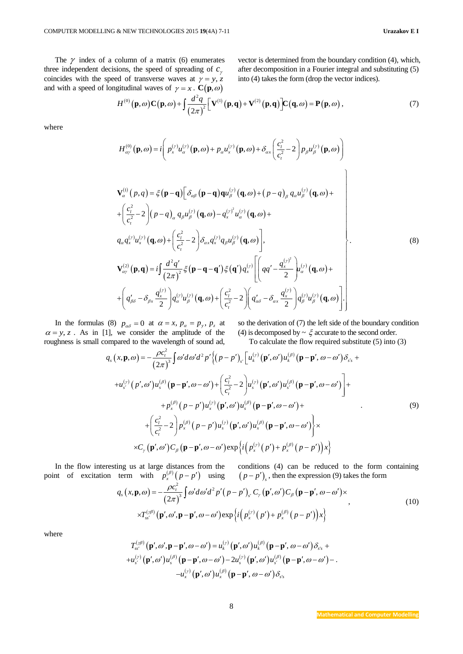The  $\gamma$  index of a column of a matrix (6) enumerates three independent decisions, the speed of spreading of  $c_{\gamma}$ coincides with the speed of transverse waves at  $\gamma = y$ , z and with a speed of longitudinal waves of  $\gamma = x$ . **C**(**p**,  $\omega$ )<br>  $H^{(0)}(\mathbf{p}, \omega) \mathbf{C}(\mathbf{p}, \omega) + \int \frac{d^2 q}{dx^2} [\mathbf{V}^{(1)}(\mathbf{p}, \mathbf{q}) + \mathbf{V}^{(2)}]$ 

vector is determined from the boundary condition (4), which, after decomposition in a Fourier integral and substituting (5) into (4) takes the form (drop the vector indices).

d of transverse waves at 
$$
\gamma = y
$$
, z into (4) takes the form (drop the vector indices).  
gitudinal waves of  $\gamma = x$ .  $\mathbf{C}(\mathbf{p}, \omega)$   
 $H^{(0)}(\mathbf{p}, \omega) \mathbf{C}(\mathbf{p}, \omega) + \int \frac{d^2 q}{(2\pi)^2} [\mathbf{V}^{(1)}(\mathbf{p}, \mathbf{q}) + \mathbf{V}^{(2)}(\mathbf{p}, \mathbf{q})] \mathbf{C}(\mathbf{q}, \omega) = \mathbf{P}(\mathbf{p}, \omega)$ , (7)

where

$$
H_{\alpha_{y}}^{(0)}(\mathbf{p}, \omega) = i \left( p_{x}^{(\gamma)} u_{\alpha}^{(\gamma)}(\mathbf{p}, \omega) + p_{\alpha} u_{x}^{(\gamma)}(\mathbf{p}, \omega) + \delta_{\alpha x} \left( \frac{c_{i}^{2}}{c_{i}^{2}} - 2 \right) p_{\beta} u_{\beta}^{(\gamma)}(\mathbf{p}, \omega) \right)
$$
  
\n
$$
\mathbf{V}_{\alpha}^{(1)}(\rho, q) = \xi(\mathbf{p} - \mathbf{q}) \left[ \delta_{\alpha\beta}(\mathbf{p} - \mathbf{q}) \mathbf{q} u_{\beta}^{(\gamma)}(\mathbf{q}, \omega) + (p - q)_{\beta} q_{\alpha} u_{\beta}^{(\gamma)}(\mathbf{q}, \omega) + \right.
$$
  
\n
$$
+ \left( \frac{c_{i}^{2}}{c_{i}^{2}} - 2 \right) (\rho - q)_{\alpha} q_{\beta} u_{\beta}^{(\gamma)}(\mathbf{q}, \omega) - q_{x}^{(\gamma)} u_{\alpha}^{(\gamma)}(\mathbf{q}, \omega) +
$$
  
\n
$$
q_{\alpha} q_{x}^{(\gamma)} u_{x}^{(\gamma)}(\mathbf{q}, \omega) + \left( \frac{c_{i}^{2}}{c_{i}^{2}} - 2 \right) \delta_{\alpha x} q_{x}^{(\gamma)} q_{\beta} u_{\beta}^{(\gamma)}(\mathbf{q}, \omega) \right],
$$
  
\n
$$
\mathbf{V}_{\alpha\gamma}^{(2)}(\mathbf{p}, \mathbf{q}) = i \int \frac{d^{2} q'}{(2\pi)^{2}} \xi(\mathbf{p} - \mathbf{q} - \mathbf{q}') \xi(\mathbf{q}') q_{x}^{(\gamma)} \left[ \left( qq' - \frac{q_{x}^{(\gamma)^{2}}}{2} \right) u_{\alpha}^{(\gamma)}(\mathbf{q}, \omega) + \right.
$$
  
\n
$$
+ \left( q_{\beta\delta}' - \delta_{\beta x} \frac{q_{x}^{(\gamma)}}{2} \right) q_{\alpha}^{(\gamma)} u_{\beta}^{(\gamma)}(\mathbf{q}, \omega) + \left( \frac{c_{i}^{2}}{c_{i}^{2}} - 2 \right) \left( q_{\alpha\delta}^{2} - \delta_{\alpha x} \frac{q_{x}^{(\gamma)}}{2}
$$

In the formulas (8)  $p_{\alpha\delta} = 0$  at  $\alpha = x$ ,  $p_{\alpha} = p_{y}$ ,  $p_{z}$  at  $\alpha = y, z$ . As in [1], we consider the amplitude of the roughness is small compared to the wavelength of sound ad, so the derivation of (7) the left side of the boundary condition (4) is decomposed by  $\sim \xi$  accurate to the second order.

1], we consider the amplitude of the  
\ncompared to the wavelength of sound ad,  
\n
$$
q_s(x, \mathbf{p}, \omega) = -\frac{\rho c_i^2}{(2\pi)^3} \int \omega' d\omega' d^2 p' \Big\{ (p - p')_{s'} \Big[ u_k^{(r)} (\mathbf{p}', \omega') u_k^{(\beta)} (\mathbf{p} - \mathbf{p}', \omega - \omega') \delta_{s'} +
$$
\n
$$
+ u_{s'}^{(r)} (p', \omega') u_s^{(\beta)} (\mathbf{p} - \mathbf{p}', \omega - \omega') + \Big( \frac{c_i^2}{c_i^2} - 2 \Big) u_s^{(r)} (\mathbf{p}', \omega') u_{s'}^{(\beta)} (\mathbf{p} - \mathbf{p}', \omega - \omega') \Big] +
$$
\n
$$
+ p_{s'}^{(\beta)} (p - p') u_s^{(r)} (\mathbf{p}', \omega') u_s^{(\beta)} (\mathbf{p} - \mathbf{p}', \omega - \omega') +
$$
\n
$$
+ \Big( \frac{c_i^2}{c_i^2} - 2 \Big) p_x^{(\beta)} (p - p') u_s^{(r)} (\mathbf{p}', \omega') u_s^{(\beta)} (\mathbf{p} - \mathbf{p}', \omega - \omega') \Big\} \times
$$
\n
$$
\times C_{\gamma} (\mathbf{p}', \omega') C_{\beta} (\mathbf{p} - \mathbf{p}', \omega - \omega') \exp \Big\{ i \Big( p_x^{(r)} (p') + p_x^{(\beta)} (p - p') \Big) x \Big\}
$$
\n(9)

In the flow interesting us at large distances from the point of excitation term with  $p_x^{(\beta)}(p-p')$  using  $(p-p')_s$ , then the express<br>  $q_s(x, \mathbf{p}, \omega) = -\frac{\rho c_t^2}{(2\pi)^3} \int \omega' d\omega' d^2 p'(p-p')_s C_\gamma(\mathbf{p}', \omega') C_\beta(\mathbf{p}-\mathbf{p}',$ conditions (4) can be reduced to the form containing with  $p_x^{(\beta)}(p-p')$  using  $(p-p')_s$ , then the expression (9) takes the form<br>  $\omega = -\frac{\rho c_t^2}{(2\pi)^3} \int \omega' d\omega' d^2 p'(p-p')_s C_\gamma (\mathbf{p}', \omega') C_\beta (\mathbf{p}-\mathbf{p}', \omega-\omega') \times$ 

$$
q_s(x, \mathbf{p}, \omega) = -\frac{\rho c_i^2}{(2\pi)^3} \int \omega' d\omega' d^2 p' (p - p')_{s'} C_{\gamma} (\mathbf{p}', \omega') C_{\beta} (\mathbf{p} - \mathbf{p}', \omega - \omega') \times \times T_{ss'}^{(\gamma\beta)} (\mathbf{p}', \omega', \mathbf{p} - \mathbf{p}', \omega - \omega') \exp \{i \left( p_x^{(\gamma)} (p') + p_x^{(\beta)} (p - p') \right) x \}
$$
\n(10)

where

$$
T_{ss'}^{(\n\gamma\beta)}(\mathbf{p}',\omega',\mathbf{p}-\mathbf{p}',\omega-\omega') = u_k^{(\gamma)}(\mathbf{p}',\omega')u_k^{(\beta)}(\mathbf{p}-\mathbf{p}',\omega-\omega')\delta_{s's} ++u_{s'}^{(\gamma)}(\mathbf{p}',\omega')u_s^{(\beta)}(\mathbf{p}-\mathbf{p}',\omega-\omega')-2u_s^{(\gamma)}(\mathbf{p}',\omega')u_{s'}^{(\beta)}(\mathbf{p}-\mathbf{p}',\omega-\omega')--u_x^{(\gamma)}(\mathbf{p}',\omega')u_x^{(\beta)}(\mathbf{p}-\mathbf{p}',\omega-\omega')\delta_{s's}
$$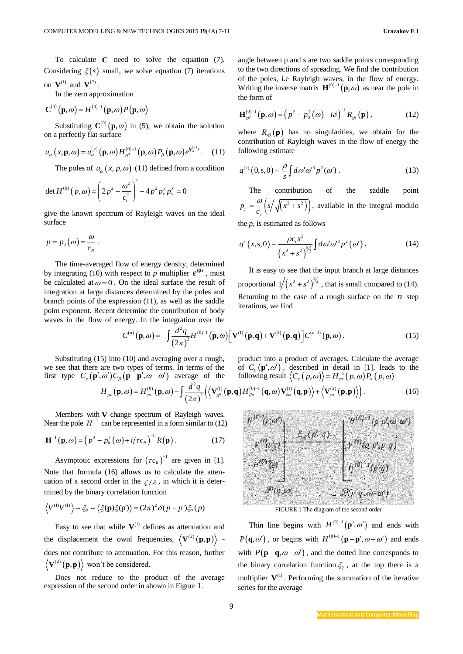In the zero approximation

$$
\mathbf{C}^{(0)}\big(\mathbf{p},\omega\big) = H^{(0)-1}\big(\mathbf{p},\omega\big)P\big(\mathbf{p},\omega\big)
$$

Substituting  $C^{(0)}(p,\omega)$  in (5), we obtain the solution on a perfectly flat surface

$$
u_{\alpha}(x, \mathbf{p}, \omega) = u_{\alpha}^{(\gamma)}(\mathbf{p}, \omega) H_{\gamma\beta}^{(0)-1}(\mathbf{p}, \omega) P_{\beta}(\mathbf{p}, \omega) e^{ip_{x}^{(\gamma)}x}.
$$
 (11)

The poles of  $u_a(x, p, \omega)$  (11) defined from a condition

det 
$$
H^{(0)}(p,\omega) = \left(2p^2 - \frac{\omega^2}{c_t^2}\right)^2 + 4p^2 p_x^y p_x^x = 0
$$

give the known spectrum of Rayleigh waves on the ideal surface

$$
p=p_0(\omega)=\frac{\omega}{c_R}.
$$

The time-averaged flow of energy density, determined by integrating (10) with respect to  $p$  multiplier  $e^{ips}$ , must be calculated at  $\omega = 0$ . On the ideal surface the result of integration at large distances determined by the poles and branch points of the expression (11), as well as the saddle point exponent. Recent determine the contribution of body waves in the flow of energy. In the integration over the

angle between p and s are two saddle points corresponding to the two directions of spreading. We find the contribution of the poles, i.e Rayleigh waves, in the flow of energy. Writing the inverse matrix  $\mathbf{H}^{(0)-1}(\mathbf{p}, \omega)$  as near the pole in the form of

$$
\mathbf{H}_{\gamma\beta}^{(0)-1}(\mathbf{p},\omega) = \left(p^2 - p_0^2(\omega) + i\delta\right)^{-1} R_{\gamma\beta}(\mathbf{p}),\tag{12}
$$

where  $R_{\beta}(\mathbf{p})$  has no singularities, we obtain for the contribution of Rayleigh waves in the flow of energy the following estimate

$$
q^{(s)}(0,s,0) \sim \frac{\rho}{s} \int d\omega' \omega'^3 p^2(\omega'). \tag{13}
$$

The contribution of the saddle point  $p_{\gamma} = \frac{\omega}{c_{\gamma}} \left( s \left/ \sqrt{\left(x^2 + s^2\right)} \right) \right),$ γ  $=\frac{\omega}{s}\left(s/\sqrt{(x^2+s^2)}\right)$ , available in the integral modulo the *p*, is estimated as follows

$$
q^{s}(x, s, 0) \sim \frac{\rho c_{t} x^{3}}{\left(x^{2} + s^{2}\right)^{\frac{5}{2}}}\int d\omega' \omega'^{3} p^{2}(\omega'). \tag{14}
$$

It is easy to see that the input branch at large distances proportional  $1/(x^2 + s^2)^{\frac{5}{4}}$ , that is small compared to (14). Returning to the case of a rough surface on the  $n$  step iterations, we find

$$
c(n)(\mathbf{p}, ω) = -\int \frac{d^2q}{(2\pi)^2} H^{(0)-1}(\mathbf{p}, ω) \left[ \mathbf{V}^{(1)}(\mathbf{p}, \mathbf{q}) + \mathbf{V}^{(2)}(\mathbf{p}, \mathbf{q}) \right] C^{(n-1)}(\mathbf{p}, ω).
$$
\n(15)

Substituting (15) into (10) and averaging over a rough, we see that there are two types of terms. In terms of the we see that there are two types of terms. In terms of the<br>first type  $C_{\gamma}(\mathbf{p}', \omega')C_{\beta}(\mathbf{p} - \mathbf{p}', \omega - \omega')$  average of the product into a product of averages. Calculate the average of  $C_r(\mathbf{p}', \omega')$ , described in detail in [1], leads to the

By into (10) and averaging over a rough, product into a product of averages. Calculate the average  
are two types of terms. In terms of the  

$$
\omega'
$$
) $C_{\beta}$ (**p**-**p**',  $\omega - \omega'$ ) average of the following result  $\langle C_{\gamma}(p, \omega) \rangle = H_{\gamma\alpha}^{-1}(p, \omega)P_{\alpha}(p, \omega)$   
 $H_{\gamma\alpha}$ (**p**, $\omega$ ) =  $H_{\gamma\alpha}^{(0)}(\mathbf{p}, \omega) - \int \frac{d^2q}{(2\pi)^2} (\langle \mathbf{V}_{\gamma\beta}^{(1)}(\mathbf{p}, \mathbf{q}) H_{\beta\delta}^{(0)-1}(\mathbf{q}, \omega) \mathbf{V}_{\delta\alpha}^{(1)}(\mathbf{q}, \mathbf{p}) + \langle \mathbf{V}_{\gamma\alpha}^{(2)}(\mathbf{p}, \mathbf{p}) \rangle ).$  (16)

Members with **V** change spectrum of Rayleigh waves. Near the pole  $H^{-1}$  can be represented in a form similar to (12)

$$
\mathbf{H}^{-1}(\mathbf{p},\omega) = \left(p^2 - p_0^2(\omega) + i/\tau c_R\right)^{-1} R(\mathbf{p}).
$$
 (17)

Asymptotic expressions for  $(\tau c_R)^{-1}$  $\left[\tau c_{R}\right]^{-1}$  are given in [1]. Note that formula (16) allows us to calculate the attenuation of a second order in the  $\zeta/\lambda$ , in which it is deter-

mined by the binary correlation function  
\n
$$
\langle V^{(1)}V^{(1)} \rangle \sim \xi_2 \sim \langle \xi(\mathbf{p})\xi(\mathbf{p}') \rangle = (2\pi)^2 \delta(p + p')\xi_2(p)
$$

Easy to see that while  $V^{(1)}$  defines as attenuation and the displacement the ownl frequencies,  $\langle \mathbf{V}^{(2)}(\mathbf{p}, \mathbf{p}) \rangle$  does not contribute to attenuation. For this reason, further  ${\bf V}^{(2)}({\bf p},{\bf p})\rangle$  won't be considered.

Does not reduce to the product of the average expression of the second order in shown in Figure 1.



FIGURE 1 The diagram of the second order

Thin line begins with  $H^{(0)-1}(\mathbf{p}', \omega')$  and ends with  $P(\mathbf{q}, \omega')$ , or begins with  $H^{(0)-1}(\mathbf{p}-\mathbf{p}', \omega-\omega')$  and ends with  $P(\mathbf{p}-\mathbf{q}, \omega-\omega')$ , and the dotted line corresponds to the binary correlation function  $\xi_2$ , at the top there is a multiplier  $V^{(1)}$ . Performing the summation of the iterative series for the average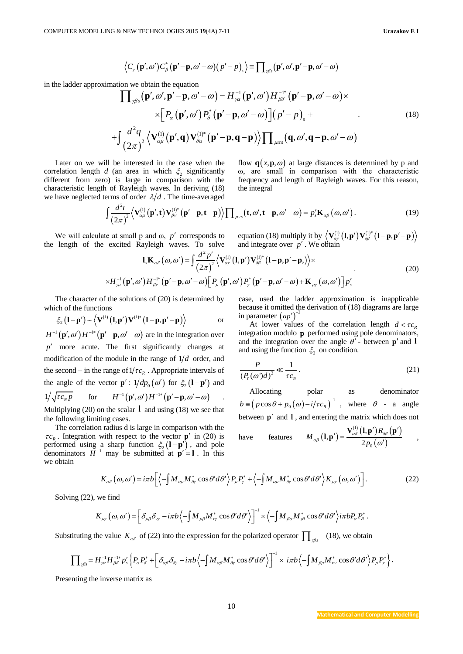$$
\langle C_{\gamma}(\mathbf{p}',\omega')C_{\beta}^{*}(\mathbf{p}'-\mathbf{p},\omega'-\omega)(p'-p)_{s}\rangle = \prod_{\gamma\beta s}(\mathbf{p}',\omega',\mathbf{p}'-\mathbf{p},\omega'-\omega)
$$

in the ladder approximation we obtain the equation  
\n
$$
\langle C, (\mathbf{p}', \omega')C_{\rho}(\mathbf{p}'-\mathbf{p}, \omega'-\omega)(p'-p)_z \rangle = \mathbf{I} \int_{\partial S} (\mathbf{p}', \omega', \mathbf{p}'-\mathbf{p}, \omega'-\omega) \times \mathbf{I}[\mathbf{p}', \omega] \cdot \mathbf{p} \cdot (\mathbf{p}', \omega') \cdot \mathbf{p} \cdot (\mathbf{p}', \omega') \cdot \mathbf{p} \cdot (\mathbf{p}', \omega') \cdot \mathbf{p} \cdot (\mathbf{p}', \omega') \cdot \mathbf{p} \cdot (\mathbf{p}', \omega') \cdot \mathbf{p} \cdot (\mathbf{p}', \omega') \cdot \mathbf{p} \cdot (\mathbf{p}', \omega') \cdot \mathbf{p} \cdot (\mathbf{p}', \omega') \cdot \mathbf{p} \cdot (\mathbf{p}', \omega') \cdot \mathbf{p} \cdot (\mathbf{p}', \omega') \cdot \mathbf{p} \cdot (\mathbf{p}', \omega') \cdot \mathbf{p} \cdot (\mathbf{p}', \omega') \cdot \mathbf{p} \cdot (\mathbf{p}, \omega') \cdot \mathbf{p} \cdot (\mathbf{p}, \omega') \cdot \mathbf{p} \cdot (\mathbf{p}, \omega') \cdot \mathbf{p} \cdot (\mathbf{p}, \omega') \cdot \mathbf{p} \cdot (\mathbf{p}, \omega') \cdot \mathbf{p} \cdot (\mathbf{p}, \omega') \cdot \mathbf{p} \cdot (\mathbf{p}, \omega') \cdot \mathbf{p} \cdot (\mathbf{p}, \omega') \cdot \mathbf{p} \cdot (\mathbf{p}, \omega') \cdot \mathbf{p} \cdot (\mathbf{p}, \omega') \cdot \mathbf{p} \cdot (\mathbf{p}, \omega') \cdot \mathbf{p} \cdot (\mathbf{p}, \omega') \cdot \mathbf{p} \cdot (\mathbf{p}, \omega') \cdot \mathbf{p} \cdot (\mathbf{p}, \omega') \cdot \mathbf{p} \cdot (\mathbf{p}, \omega') \cdot \mathbf{p} \cdot (\mathbf{p}, \omega') \cdot \mathbf{p} \cdot (\mathbf{p}, \omega') \cdot \mathbf{p} \cdot (\mathbf{p}, \omega') \cdot \mathbf{p} \cdot (\mathbf{p}, \omega') \cdot \mathbf{p} \cdot (\mathbf{p}, \omega') \cdot \mathbf{p} \cdot (\mathbf{p}, \omega') \cdot \mathbf{p} \cdot (\mathbf{p}, \omega') \cdot
$$

Later on we will be interested in the case when the correlation length *d* (an area in which  $\xi_2$  significantly different from zero) is large in comparison with the characteristic length of Rayleigh waves. In deriving (18) characteristic length of Rayleigh waves. In deriving (18)<br>we have neglected terms of order  $\lambda/d$ . The time-averaged<br> $\left(\frac{d^2t}{dx^2}, \left\langle \mathbf{V}_{gu}^{(1)}(\mathbf{p}', \mathbf{t}) \mathbf{V}_{gv}^{(1)^*}(\mathbf{p}'-\mathbf{p}, \mathbf{t}-\mathbf{p}) \right\rangle \right)$ 

flow  $q(x, p, \omega)$  at large distances is determined by p and ω, are small in comparison with the characteristic frequency and length of Rayleigh waves. For this reason, the integral

of Rayleigh waves. In deriving (18) the integral  
erms of order 
$$
\lambda/d
$$
. The time-averaged  

$$
\int \frac{d^2t}{(2\pi)^2} \langle \mathbf{V}^{(1)}_{\alpha\mu}(\mathbf{p}', \mathbf{t}) \mathbf{V}^{(1)*}_{\beta\nu}(\mathbf{p}'-\mathbf{p}, \mathbf{t}-\mathbf{p}) \rangle \prod_{\mu\nu s} (\mathbf{t}, \omega', \mathbf{t}-\mathbf{p}, \omega'-\omega) = p_s' \mathbf{K}_{\alpha\beta}(\omega, \omega').
$$
 (19)

We will calculate at small p and ω, *p'* corresponds to length of the excited Rayleigh waves. To solve  $\mathbf{l}_x \mathbf{K}_{\alpha\delta}(\omega, \omega') = \int \frac{d^2 p'}{dx^2} \langle \mathbf{V}_{\alpha\delta}^{\beta}(\omega, \omega') \rangle$ the length of the excited Rayleigh waves. To solve equation (18) multiply it by  $\left\langle \mathbf{V}_{\alpha y}^{(1)}(\mathbf{l}, \mathbf{p'})\mathbf{V}_{\delta\beta}^{(1)*}(\mathbf{l}-\mathbf{p}, \mathbf{p'}-\mathbf{p})\right\rangle$ 

The set of small p and 
$$
\omega
$$
, p' corresponds to  
excited Rayleigh waves. To solve  

$$
\textbf{I}_{s} \mathbf{K}_{\alpha\delta}(\omega,\omega') = \int \frac{d^{2}p'}{(2\pi)^{2}} \langle \mathbf{V}_{\alpha\gamma}^{(1)}(\mathbf{l},\mathbf{p}')\mathbf{V}_{\delta\beta}^{(1)*}(\mathbf{l}-\mathbf{p},\mathbf{p}'-\mathbf{p}) \rangle \times
$$

$$
\times H_{\gamma\mu}^{-1}(\mathbf{p}',\omega')H_{\beta\gamma}^{-1*}(\mathbf{p}'-\mathbf{p},\omega'-\omega)[P_{\mu}(\mathbf{p}',\omega')P_{\gamma}^{*}(\mathbf{p}'-\mathbf{p},\omega'-\omega)+\mathbf{K}_{\mu\gamma}(\omega,\omega')]p'_{s}
$$
(20)

The character of the solutions of (20) is determined by

which of the functions  

$$
\zeta_2 (\mathbf{l} - \mathbf{p}') \sim \left\langle \mathbf{V}^{(1)} (\mathbf{l}, \mathbf{p}') \mathbf{V}^{(1)*} (\mathbf{l} - \mathbf{p}, \mathbf{p}' - \mathbf{p}) \right\rangle \qquad \text{or}
$$

 $H^{-1}(\mathbf{p}', \omega')H^{-1*}(\mathbf{p}'-\mathbf{p}, \omega'-\omega)$  are in the integration over *p* more acute. The first significantly changes at modification of the module in the range of  $1/d$  order, and the second – in the range of  $1/\tau c_R$ . Appropriate intervals of the angle of the vector  $\mathbf{p}'$ :  $1/dp_0(\omega')$  for  $\xi_2(\mathbf{l}-\mathbf{p}')$  and  $1/\sqrt{\tau c_R p}$ for  $H^{-1}(\mathbf{p}', \omega')H^{-1*}(\mathbf{p}'-\mathbf{p}, \omega'-\omega)$  .

Multiplying  $(20)$  on the scalar  $\bf{l}$  and using  $(18)$  we see that the following limiting cases.

The correlation radius d is large in comparison with the  $\tau c_R$ . Integration with respect to the vector **p**<sup> $\prime$ </sup> in (20) is performed using a sharp function  $\xi_2(\mathbf{l} - \mathbf{p}')$ , and pole denominators  $H^{-1}$  may be submitted at  $\mathbf{p}' = \mathbf{l}$ . In this we obtain

case, used the ladder approximation is inapplicable because it omitted the derivation of (18) diagrams are large in parameter  $(ap')^-$ 

At lower values of the correlation length  $d < \tau c_R$ integration modulo **p** performed using pole denominators, and the integration over the angle  $\theta'$  - between  $\mathbf{p}'$  and **l** and using the function  $\xi_2$  on condition.

$$
\frac{P}{\left(P_0(\omega)\right)^2} \ll \frac{1}{\tau c_R}.\tag{21}
$$

Allocating polar as denominator  $(p \cos \theta + p_0(\omega) - i/\tau c_R)^{-1}$  $b = (p \cos \theta + p_0(\omega) - i/\tau c_R)^{-1}$ , where  $\theta$  - a angle between  $\mathbf{p}'$  and  $\mathbf{l}$ , and entering the matrix which does not

have features 
$$
M_{\alpha\beta}(\mathbf{l}, \mathbf{p}') = \frac{\mathbf{V}_{\alpha\delta}^{(1)}(\mathbf{l}, \mathbf{p}')R_{\beta\beta}(\mathbf{p}')}{2p_0(\omega')}
$$

a sharp function 
$$
\xi_2 (\mathbf{l} - \mathbf{p}')
$$
, and pole  
may be submitted at  $\mathbf{p}' = \mathbf{l}$ . In this  

$$
K_{\alpha\delta}(\omega, \omega') = i\pi b \Big[ \Big\langle -\int M_{\alpha\mu} M_{\delta\gamma}^* \cos\theta' d\theta' \Big\rangle P_{\mu} P_{\gamma}^* + \Big\langle -\int M_{\alpha\mu} M_{\delta\gamma}^* \cos\theta' d\theta' \Big\rangle K_{\mu\gamma}(\omega, \omega') \Big].
$$
 (22)

Solving (22), we find

$$
K_{\alpha\delta}(\omega,\omega') = i\pi b \Big[ \Big\langle -\int M_{\alpha\mu} M_{\delta\gamma}^* \cos\theta' d\theta' \Big\rangle P_{\mu} P_{\gamma}^* + \Big\langle -\int M_{\alpha\mu} M_{\delta\gamma}^* \cos\theta' d\theta' \Big\rangle K_{\mu\gamma}(\omega,\omega') \Big].
$$
  
we find  

$$
K_{\mu\gamma}(\omega,\omega') = \Big[ \delta_{\mu\beta} \delta_{\nu\gamma} - i\pi b \Big\langle -\int M_{\mu\beta} M_{\nu\gamma}^* \cos\theta' d\theta' \Big\rangle \Big]^{-1} \times \Big\langle -\int M_{\beta\alpha} M_{\gamma\delta}^* \cos\theta' d\theta' \Big\rangle i\pi b P_{\alpha} P_{\delta}^*.
$$

$$
K_{\mu\nu}(\omega,\omega') = \left[\delta_{\mu\beta}\delta_{\nu\gamma} - i\pi b \left\langle -\int M_{\mu\beta} M_{\nu\gamma}^* \cos\theta' d\theta' \right\rangle \right]^{-1} \times \left\langle -\int M_{\beta\alpha} M_{\gamma\delta}^* \cos\theta' d\theta' \right\rangle i\pi b P_{\alpha} P_{\delta}^*.
$$
\nSubstituting the value  $K_{\alpha\delta}$  of (22) into the expression for the polarized operator  $\prod_{\gamma\beta s} (18)$ , we obtain

\n
$$
\prod_{\gamma\beta s} = H_{\gamma\alpha}^{-1} H_{\beta\delta}^{-1*} p_s' \left\{ P_{\alpha} P_{\delta}^* + \left[ \delta_{\alpha\beta} \delta_{\delta\gamma} - i\pi b \left\langle -\int M_{\alpha\beta} M_{\delta\gamma}^* \cos\theta' d\theta' \right\rangle \right]^{-1} \times i\pi b \left\langle -\int M_{\beta\mu} M_{\nu\nu}^* \cos\theta' d\theta' \right\rangle P_{\mu} P_{\gamma}^* \right\}.
$$

Presenting the inverse matrix as